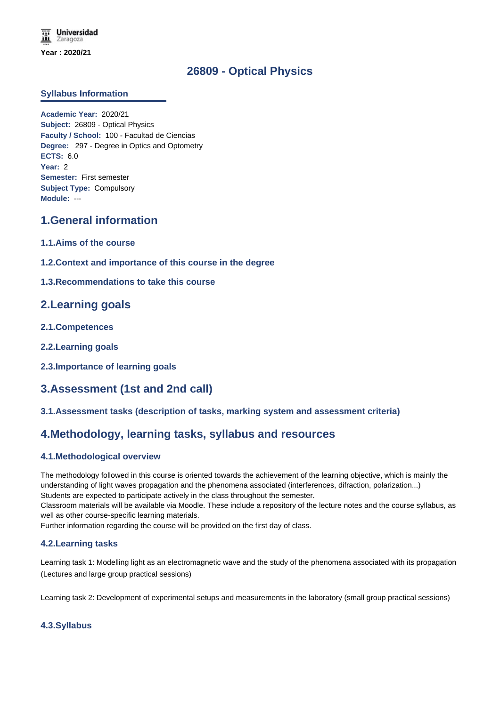# **26809 - Optical Physics**

### **Syllabus Information**

**Academic Year:** 2020/21 **Subject:** 26809 - Optical Physics **Faculty / School:** 100 - Facultad de Ciencias **Degree:** 297 - Degree in Optics and Optometry **ECTS:** 6.0 **Year:** 2 **Semester:** First semester **Subject Type:** Compulsory **Module:** ---

# **1.General information**

- **1.1.Aims of the course**
- **1.2.Context and importance of this course in the degree**
- **1.3.Recommendations to take this course**

## **2.Learning goals**

- **2.1.Competences**
- **2.2.Learning goals**
- **2.3.Importance of learning goals**

## **3.Assessment (1st and 2nd call)**

### **3.1.Assessment tasks (description of tasks, marking system and assessment criteria)**

## **4.Methodology, learning tasks, syllabus and resources**

### **4.1.Methodological overview**

The methodology followed in this course is oriented towards the achievement of the learning objective, which is mainly the understanding of light waves propagation and the phenomena associated (interferences, difraction, polarization...) Students are expected to participate actively in the class throughout the semester.

Classroom materials will be available via Moodle. These include a repository of the lecture notes and the course syllabus, as well as other course-specific learning materials.

Further information regarding the course will be provided on the first day of class.

### **4.2.Learning tasks**

Learning task 1: Modelling light as an electromagnetic wave and the study of the phenomena associated with its propagation (Lectures and large group practical sessions)

Learning task 2: Development of experimental setups and measurements in the laboratory (small group practical sessions)

### **4.3.Syllabus**